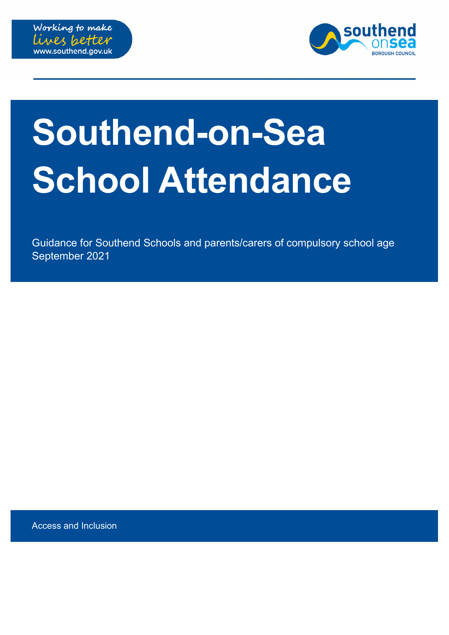



# **Southend-on-Sea School Attendance**

Guidance for Southend Schools and parents/carers of compulsory school age September 2021

Access and Inclusion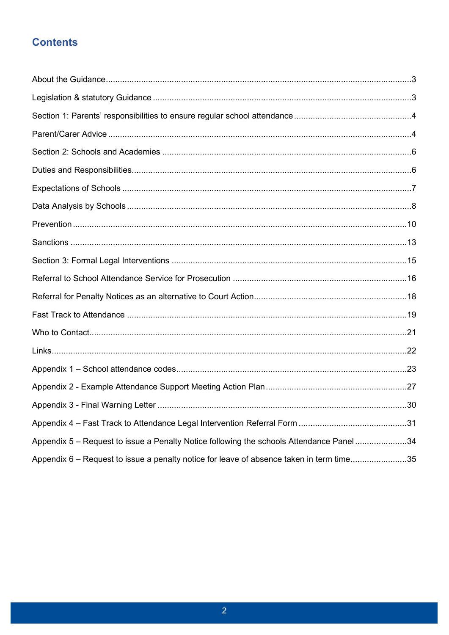# **Contents**

| Appendix 5 - Request to issue a Penalty Notice following the schools Attendance Panel34  |  |
|------------------------------------------------------------------------------------------|--|
| Appendix 6 – Request to issue a penalty notice for leave of absence taken in term time35 |  |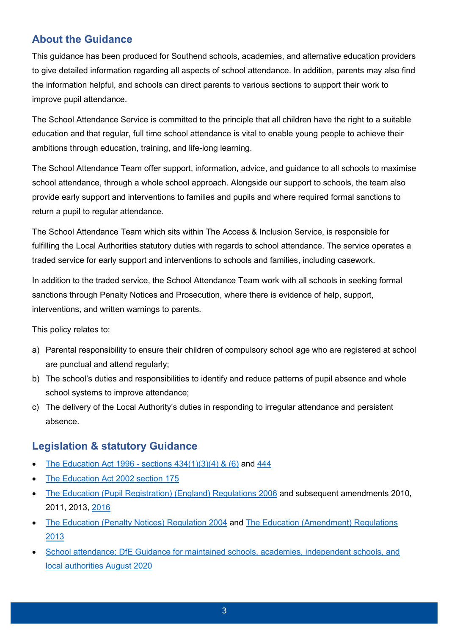# <span id="page-2-0"></span>**About the Guidance**

This guidance has been produced for Southend schools, academies, and alternative education providers to give detailed information regarding all aspects of school attendance. In addition, parents may also find the information helpful, and schools can direct parents to various sections to support their work to improve pupil attendance.

The School Attendance Service is committed to the principle that all children have the right to a suitable education and that regular, full time school attendance is vital to enable young people to achieve their ambitions through education, training, and life-long learning.

The School Attendance Team offer support, information, advice, and guidance to all schools to maximise school attendance, through a whole school approach. Alongside our support to schools, the team also provide early support and interventions to families and pupils and where required formal sanctions to return a pupil to regular attendance.

The School Attendance Team which sits within The Access & Inclusion Service, is responsible for fulfilling the Local Authorities statutory duties with regards to school attendance. The service operates a traded service for early support and interventions to schools and families, including casework.

In addition to the traded service, the School Attendance Team work with all schools in seeking formal sanctions through Penalty Notices and Prosecution, where there is evidence of help, support, interventions, and written warnings to parents.

This policy relates to:

- a) Parental responsibility to ensure their children of compulsory school age who are registered at school are punctual and attend regularly;
- b) The school's duties and responsibilities to identify and reduce patterns of pupil absence and whole school systems to improve attendance;
- c) The delivery of the Local Authority's duties in responding to irregular attendance and persistent absence.

# <span id="page-2-1"></span>**Legislation & statutory Guidance**

- The Education Act 1996 sections  $434(1)(3)(4)$  &  $(6)$  and  $444$
- [The Education Act 2002 section 175](http://www.legislation.gov.uk/ukpga/2002/32/section/175)
- [The Education \(Pupil Registration\) \(England\) Regulations 2006](https://www.legislation.gov.uk/uksi/2006/1751/contents/made) and subsequent amendments 2010, 2011, 2013, [2016](https://www.legislation.gov.uk/uksi/2016/792/contents/made)
- [The Education \(Penalty Notices\) Regulation 2004](https://www.legislation.gov.uk/uksi/2004/181/made) and [The Education \(Amendment\) Regulations](https://www.legislation.gov.uk/uksi/2013/757/made) [2013](https://www.legislation.gov.uk/uksi/2013/757/made)
- [School attendance: DfE Guidance for maintained schools, academies, independent schools, and](https://assets.publishing.service.gov.uk/government/uploads/system/uploads/attachment_data/file/907535/School_attendance_guidance_for_2020_to_2021_academic_year.pdf) [local authorities August 2020](https://assets.publishing.service.gov.uk/government/uploads/system/uploads/attachment_data/file/907535/School_attendance_guidance_for_2020_to_2021_academic_year.pdf)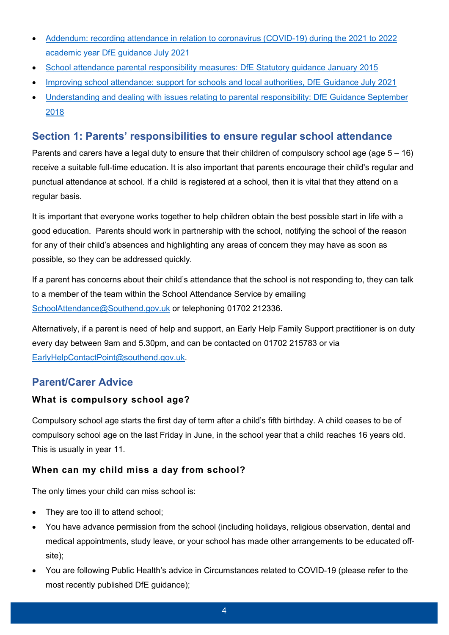- [Addendum: recording attendance in relation to coronavirus \(COVID-19\) during the 2021 to 2022](https://www.gov.uk/government/publications/school-attendance/addendum-recording-attendance-in-relation-to-coronavirus-covid-19-during-the-2021-to-2022-academic-year) [academic year DfE guidance July 2021](https://www.gov.uk/government/publications/school-attendance/addendum-recording-attendance-in-relation-to-coronavirus-covid-19-during-the-2021-to-2022-academic-year)
- [School attendance parental responsibility measures: DfE Statutory guidance January 2015](https://assets.publishing.service.gov.uk/government/uploads/system/uploads/attachment_data/file/581539/School_attendance_parental_responsibility_measures_statutory_guidance.pdf)
- [Improving school attendance: support for schools and local authorities, DfE Guidance July 2021](https://www.gov.uk/government/publications/school-attendance/framework-for-securing-full-attendance-actions-for-schools-and-local-authorities)
- [Understanding and dealing with issues relating to parental responsibility: DfE Guidance September](https://www.gov.uk/government/publications/dealing-with-issues-relating-to-parental-responsibility/understanding-and-dealing-with-issues-relating-to-parental-responsibility) [2018](https://www.gov.uk/government/publications/dealing-with-issues-relating-to-parental-responsibility/understanding-and-dealing-with-issues-relating-to-parental-responsibility)

## <span id="page-3-0"></span>**Section 1: Parents' responsibilities to ensure regular school attendance**

Parents and carers have a legal duty to ensure that their children of compulsory school age (age 5 – 16) receive a suitable full-time education. It is also important that parents encourage their child's regular and punctual attendance at school. If a child is registered at a school, then it is vital that they attend on a regular basis.

It is important that everyone works together to help children obtain the best possible start in life with a good education. Parents should work in partnership with the school, notifying the school of the reason for any of their child's absences and highlighting any areas of concern they may have as soon as possible, so they can be addressed quickly.

If a parent has concerns about their child's attendance that the school is not responding to, they can talk to a member of the team within the School Attendance Service by emailing [SchoolAttendance@Southend.gov.uk](mailto:SchoolAttendance@Southend.gov.uk) or telephoning 01702 212336.

Alternatively, if a parent is need of help and support, an Early Help Family Support practitioner is on duty every day between 9am and 5.30pm, and can be contacted on 01702 215783 or via [EarlyHelpContactPoint@southend.gov.uk.](mailto:EarlyHelpContactPoint@southend.gov.uk)

## <span id="page-3-1"></span>**Parent/Carer Advice**

#### **What is compulsory school age?**

Compulsory school age starts the first day of term after a child's fifth birthday. A child ceases to be of compulsory school age on the last Friday in June, in the school year that a child reaches 16 years old. This is usually in year 11.

#### **When can my child miss a day from school?**

The only times your child can miss school is:

- They are too ill to attend school;
- You have advance permission from the school (including holidays, religious observation, dental and medical appointments, study leave, or your school has made other arrangements to be educated offsite);
- You are following Public Health's advice in Circumstances related to COVID-19 (please refer to the most recently published DfE guidance);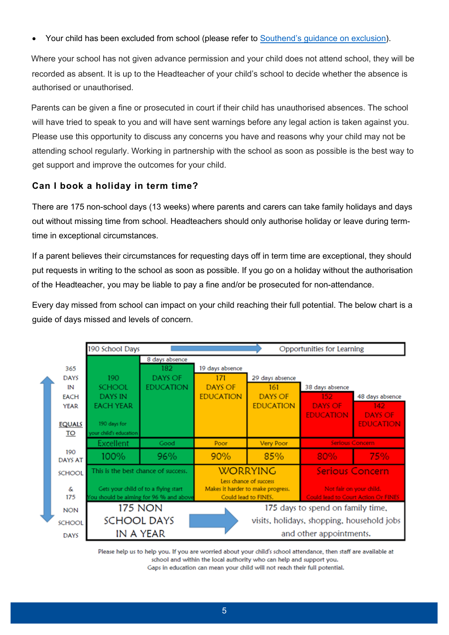• Your child has been excluded from school (please refer to [Southend's guidance on exclusion\)](https://www.southend.gov.uk/school-attendance/exclusion-school).

Where your school has not given advance permission and your child does not attend school, they will be recorded as absent. It is up to the Headteacher of your child's school to decide whether the absence is authorised or unauthorised.

Parents can be given a fine or prosecuted in court if their child has unauthorised absences. The school will have tried to speak to you and will have sent warnings before any legal action is taken against you. Please use this opportunity to discuss any concerns you have and reasons why your child may not be attending school regularly. Working in partnership with the school as soon as possible is the best way to get support and improve the outcomes for your child.

#### **Can I book a holiday in term time?**

There are 175 non-school days (13 weeks) where parents and carers can take family holidays and days out without missing time from school. Headteachers should only authorise holiday or leave during termtime in exceptional circumstances.

If a parent believes their circumstances for requesting days off in term time are exceptional, they should put requests in writing to the school as soon as possible. If you go on a holiday without the authorisation of the Headteacher, you may be liable to pay a fine and/or be prosecuted for non-attendance.

Every day missed from school can impact on your child reaching their full potential. The below chart is a guide of days missed and levels of concern.

|                       | 190 School Days                     |                                         |                  |                                   | Opportunities for Learning                 |                                            |
|-----------------------|-------------------------------------|-----------------------------------------|------------------|-----------------------------------|--------------------------------------------|--------------------------------------------|
|                       |                                     | 8 days absence                          |                  |                                   |                                            |                                            |
| 365                   |                                     | 182                                     | 19 days absence  |                                   |                                            |                                            |
| <b>DAYS</b>           | 190                                 | <b>DAYS OF</b>                          | 171              | 29 days absence                   |                                            |                                            |
| IN                    | <b>SCHOOL</b>                       | <b>EDUCATION</b>                        | DAYS OF          | 161                               | 38 days absence                            |                                            |
| <b>EACH</b>           | <b>DAYS IN</b>                      |                                         | <b>EDUCATION</b> | DAYS OF                           | $152 -$                                    | 48 days absence                            |
| <b>YEAR</b>           | <b>EACH YEAR</b>                    |                                         |                  | <b>EDUCATION</b>                  | <b>DAYS OF</b>                             | 142.                                       |
|                       |                                     |                                         |                  |                                   | <b>EDUCATION</b>                           | <b>DAYS OF</b>                             |
| <b>EQUALS</b>         | 190 days for                        |                                         |                  |                                   |                                            | <b>EDUCATION</b>                           |
| <u>TO</u>             | your child's education              |                                         |                  |                                   |                                            |                                            |
|                       | Excellent                           | Good                                    | Poor             | <b>Very Poor</b>                  | <b>Serious Concern</b>                     |                                            |
| 190<br><b>DAYS AT</b> | 100%                                | 96%                                     | 90%              | 85%                               | 80%                                        | 75%                                        |
| <b>SCHOOL</b>         | This is the best chance of success. |                                         |                  | <b>WORRYING</b>                   | <b>Serious Concern</b>                     |                                            |
|                       |                                     |                                         |                  | Less chance of success            |                                            |                                            |
| &                     |                                     | Gets your child of to a flying start    |                  | Makes it harder to make progress. | Not fair on your child.                    |                                            |
| 175                   |                                     | You should be aiming for 96 % and above |                  | Could lead to FINES.              |                                            | <b>Could lead to Court Action Or FINES</b> |
| <b>NON</b>            |                                     | <b>175 NON</b>                          |                  |                                   | 175 days to spend on family time,          |                                            |
| <b>SCHOOL</b>         | <b>SCHOOL DAYS</b>                  |                                         |                  |                                   | visits, holidays, shopping, household jobs |                                            |
| <b>DAYS</b>           |                                     | IN A YEAR                               |                  |                                   | and other appointments.                    |                                            |

Please help us to help you. If you are worried about your child's school attendance, then staff are available at school and within the local authority who can help and support you.

Gaps in education can mean your child will not reach their full potential.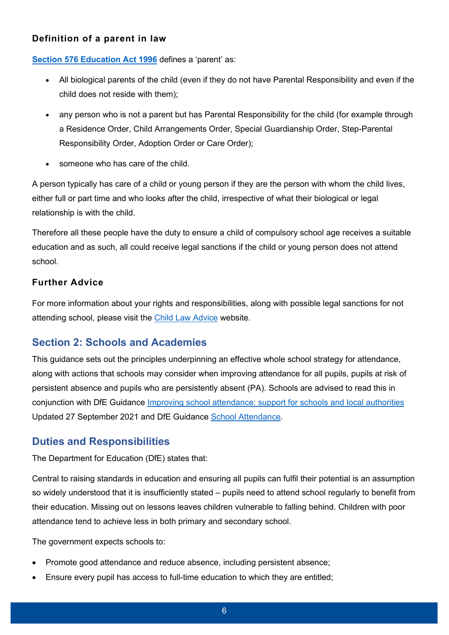#### **Definition of a parent in law**

**[Section 576 Education Act 1996](http://www.legislation.gov.uk/ukpga/1996/56/section/576)** defines a 'parent' as:

- All biological parents of the child (even if they do not have Parental Responsibility and even if the child does not reside with them);
- any person who is not a parent but has Parental Responsibility for the child (for example through a Residence Order, Child Arrangements Order, Special Guardianship Order, Step-Parental Responsibility Order, Adoption Order or Care Order);
- someone who has care of the child.

A person typically has care of a child or young person if they are the person with whom the child lives, either full or part time and who looks after the child, irrespective of what their biological or legal relationship is with the child.

Therefore all these people have the duty to ensure a child of compulsory school age receives a suitable education and as such, all could receive legal sanctions if the child or young person does not attend school.

#### **Further Advice**

For more information about your rights and responsibilities, along with possible legal sanctions for not attending school, please visit the [Child Law Advice](https://childlawadvice.org.uk/information-pages/school-attendance-and-absence/) website.

# <span id="page-5-0"></span>**Section 2: Schools and Academies**

This guidance sets out the principles underpinning an effective whole school strategy for attendance, along with actions that schools may consider when improving attendance for all pupils, pupils at risk of persistent absence and pupils who are persistently absent (PA). Schools are advised to read this in conjunction with DfE Guidance [Improving school attendance: support for schools and local authorities](https://www.gov.uk/government/publications/school-attendance/framework-for-securing-full-attendance-actions-for-schools-and-local-authorities) Updated 27 September 2021 and DfE Guidance [School Attendance.](https://assets.publishing.service.gov.uk/government/uploads/system/uploads/attachment_data/file/907535/School_attendance_guidance_for_2020_to_2021_academic_year.pdf)

# <span id="page-5-1"></span>**Duties and Responsibilities**

The Department for Education (DfE) states that:

Central to raising standards in education and ensuring all pupils can fulfil their potential is an assumption so widely understood that it is insufficiently stated – pupils need to attend school regularly to benefit from their education. Missing out on lessons leaves children vulnerable to falling behind. Children with poor attendance tend to achieve less in both primary and secondary school.

The government expects schools to:

- Promote good attendance and reduce absence, including persistent absence;
- Ensure every pupil has access to full-time education to which they are entitled;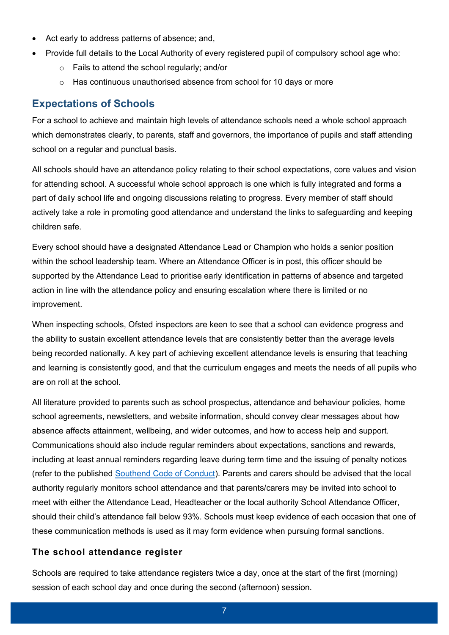- Act early to address patterns of absence; and,
- Provide full details to the Local Authority of every registered pupil of compulsory school age who:
	- o Fails to attend the school regularly; and/or
	- o Has continuous unauthorised absence from school for 10 days or more

#### <span id="page-6-0"></span>**Expectations of Schools**

For a school to achieve and maintain high levels of attendance schools need a whole school approach which demonstrates clearly, to parents, staff and governors, the importance of pupils and staff attending school on a regular and punctual basis.

All schools should have an attendance policy relating to their school expectations, core values and vision for attending school. A successful whole school approach is one which is fully integrated and forms a part of daily school life and ongoing discussions relating to progress. Every member of staff should actively take a role in promoting good attendance and understand the links to safeguarding and keeping children safe.

Every school should have a designated Attendance Lead or Champion who holds a senior position within the school leadership team. Where an Attendance Officer is in post, this officer should be supported by the Attendance Lead to prioritise early identification in patterns of absence and targeted action in line with the attendance policy and ensuring escalation where there is limited or no improvement.

When inspecting schools, Ofsted inspectors are keen to see that a school can evidence progress and the ability to sustain excellent attendance levels that are consistently better than the average levels being recorded nationally. A key part of achieving excellent attendance levels is ensuring that teaching and learning is consistently good, and that the curriculum engages and meets the needs of all pupils who are on roll at the school.

All literature provided to parents such as school prospectus, attendance and behaviour policies, home school agreements, newsletters, and website information, should convey clear messages about how absence affects attainment, wellbeing, and wider outcomes, and how to access help and support. Communications should also include regular reminders about expectations, sanctions and rewards, including at least annual reminders regarding leave during term time and the issuing of penalty notices (refer to the published [Southend Code of Conduct\)](https://www.southend.gov.uk/downloads/file/3606/amendment-to-sbc-code-of-conduct-under-the-provision-of-the-education-penalty-notices-regulation-2004). Parents and carers should be advised that the local authority regularly monitors school attendance and that parents/carers may be invited into school to meet with either the Attendance Lead, Headteacher or the local authority School Attendance Officer, should their child's attendance fall below 93%. Schools must keep evidence of each occasion that one of these communication methods is used as it may form evidence when pursuing formal sanctions.

#### **The school attendance register**

Schools are required to take attendance registers twice a day, once at the start of the first (morning) session of each school day and once during the second (afternoon) session.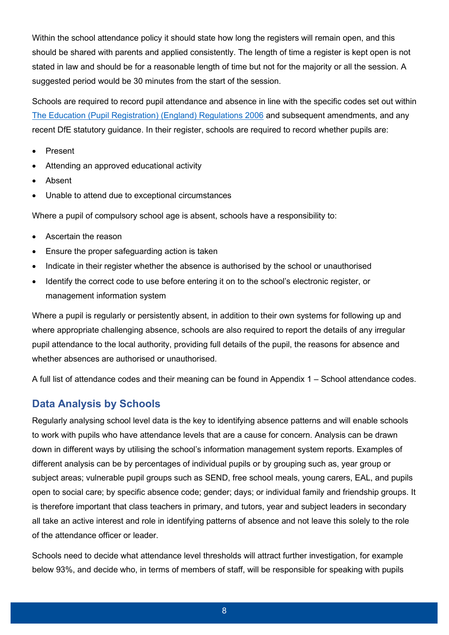Within the school attendance policy it should state how long the registers will remain open, and this should be shared with parents and applied consistently. The length of time a register is kept open is not stated in law and should be for a reasonable length of time but not for the majority or all the session. A suggested period would be 30 minutes from the start of the session.

Schools are required to record pupil attendance and absence in line with the specific codes set out within [The Education \(Pupil Registration\) \(England\) Regulations 2006](https://www.legislation.gov.uk/uksi/2006/1751/contents/made) and subsequent amendments, and any recent DfE statutory guidance. In their register, schools are required to record whether pupils are:

- Present
- Attending an approved educational activity
- Absent
- Unable to attend due to exceptional circumstances

Where a pupil of compulsory school age is absent, schools have a responsibility to:

- Ascertain the reason
- Ensure the proper safeguarding action is taken
- Indicate in their register whether the absence is authorised by the school or unauthorised
- Identify the correct code to use before entering it on to the school's electronic register, or management information system

Where a pupil is regularly or persistently absent, in addition to their own systems for following up and where appropriate challenging absence, schools are also required to report the details of any irregular pupil attendance to the local authority, providing full details of the pupil, the reasons for absence and whether absences are authorised or unauthorised.

A full list of attendance codes and their meaning can be found in [Appendix 1 – School attendance codes.](#page-22-0)

#### <span id="page-7-0"></span>**Data Analysis by Schools**

Regularly analysing school level data is the key to identifying absence patterns and will enable schools to work with pupils who have attendance levels that are a cause for concern. Analysis can be drawn down in different ways by utilising the school's information management system reports. Examples of different analysis can be by percentages of individual pupils or by grouping such as, year group or subject areas; vulnerable pupil groups such as SEND, free school meals, young carers, EAL, and pupils open to social care; by specific absence code; gender; days; or individual family and friendship groups. It is therefore important that class teachers in primary, and tutors, year and subject leaders in secondary all take an active interest and role in identifying patterns of absence and not leave this solely to the role of the attendance officer or leader.

Schools need to decide what attendance level thresholds will attract further investigation, for example below 93%, and decide who, in terms of members of staff, will be responsible for speaking with pupils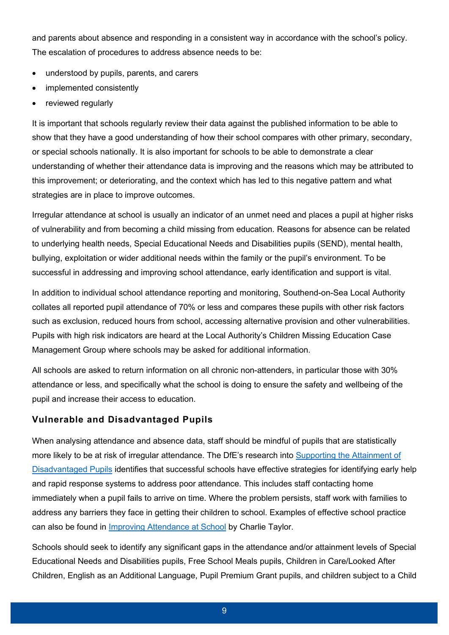and parents about absence and responding in a consistent way in accordance with the school's policy. The escalation of procedures to address absence needs to be:

- understood by pupils, parents, and carers
- implemented consistently
- reviewed regularly

It is important that schools regularly review their data against the published information to be able to show that they have a good understanding of how their school compares with other primary, secondary, or special schools nationally. It is also important for schools to be able to demonstrate a clear understanding of whether their attendance data is improving and the reasons which may be attributed to this improvement; or deteriorating, and the context which has led to this negative pattern and what strategies are in place to improve outcomes.

Irregular attendance at school is usually an indicator of an unmet need and places a pupil at higher risks of vulnerability and from becoming a child missing from education. Reasons for absence can be related to underlying health needs, Special Educational Needs and Disabilities pupils (SEND), mental health, bullying, exploitation or wider additional needs within the family or the pupil's environment. To be successful in addressing and improving school attendance, early identification and support is vital.

In addition to individual school attendance reporting and monitoring, Southend-on-Sea Local Authority collates all reported pupil attendance of 70% or less and compares these pupils with other risk factors such as exclusion, reduced hours from school, accessing alternative provision and other vulnerabilities. Pupils with high risk indicators are heard at the Local Authority's Children Missing Education Case Management Group where schools may be asked for additional information.

All schools are asked to return information on all chronic non-attenders, in particular those with 30% attendance or less, and specifically what the school is doing to ensure the safety and wellbeing of the pupil and increase their access to education.

#### **Vulnerable and Disadvantaged Pupils**

When analysing attendance and absence data, staff should be mindful of pupils that are statistically more likely to be at risk of irregular attendance. The DfE's research into [Supporting the Attainment of](https://www.gov.uk/government/publications/supporting-the-attainment-of-disadvantaged-pupils)  [Disadvantaged Pupils](https://www.gov.uk/government/publications/supporting-the-attainment-of-disadvantaged-pupils) identifies that successful schools have effective strategies for identifying early help and rapid response systems to address poor attendance. This includes staff contacting home immediately when a pupil fails to arrive on time. Where the problem persists, staff work with families to address any barriers they face in getting their children to school. Examples of effective school practice can also be found in [Improving Attendance at School](https://assets.publishing.service.gov.uk/government/uploads/system/uploads/attachment_data/file/180772/DFE-00036-2012_improving_attendance_at_school.pdf) by Charlie Taylor.

Schools should seek to identify any significant gaps in the attendance and/or attainment levels of Special Educational Needs and Disabilities pupils, Free School Meals pupils, Children in Care/Looked After Children, English as an Additional Language, Pupil Premium Grant pupils, and children subject to a Child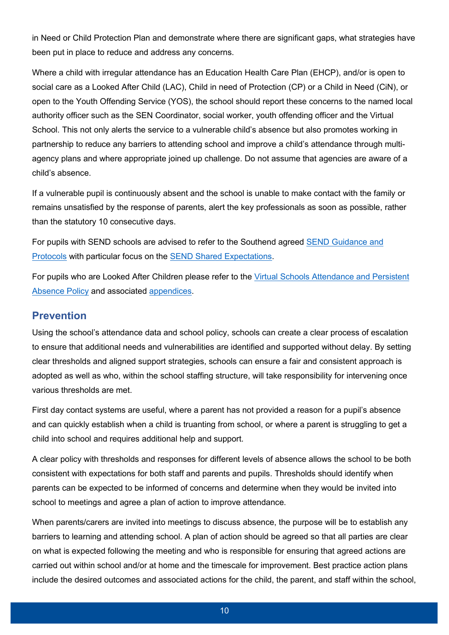in Need or Child Protection Plan and demonstrate where there are significant gaps, what strategies have been put in place to reduce and address any concerns.

Where a child with irregular attendance has an Education Health Care Plan (EHCP), and/or is open to social care as a Looked After Child (LAC), Child in need of Protection (CP) or a Child in Need (CiN), or open to the Youth Offending Service (YOS), the school should report these concerns to the named local authority officer such as the SEN Coordinator, social worker, youth offending officer and the Virtual School. This not only alerts the service to a vulnerable child's absence but also promotes working in partnership to reduce any barriers to attending school and improve a child's attendance through multiagency plans and where appropriate joined up challenge. Do not assume that agencies are aware of a child's absence.

If a vulnerable pupil is continuously absent and the school is unable to make contact with the family or remains unsatisfied by the response of parents, alert the key professionals as soon as possible, rather than the statutory 10 consecutive days.

For pupils with SEND schools are advised to refer to the Southend agreed [SEND Guidance and](https://www.southendlearningnetwork.co.uk/Page/16105)  [Protocols](https://www.southendlearningnetwork.co.uk/Page/16105) with particular focus on the [SEND Shared Expectations.](https://www.southendlearningnetwork.co.uk/Pages/Download/8d304221-11e5-4243-baeb-126227b0c98e/PageSectionDocuments)

For pupils who are Looked After Children please refer to the [Virtual Schools Attendance and Persistent](https://southendvirtualschool.co.uk/Pages/Download/f0642b8e-75bf-444d-9c26-8a238cd823f2/PageSectionDocuments)  [Absence Policy](https://southendvirtualschool.co.uk/Pages/Download/f0642b8e-75bf-444d-9c26-8a238cd823f2/PageSectionDocuments) and associated [appendices.](https://southendvirtualschool.co.uk/Page/3732)

### <span id="page-9-0"></span>**Prevention**

Using the school's attendance data and school policy, schools can create a clear process of escalation to ensure that additional needs and vulnerabilities are identified and supported without delay. By setting clear thresholds and aligned support strategies, schools can ensure a fair and consistent approach is adopted as well as who, within the school staffing structure, will take responsibility for intervening once various thresholds are met.

First day contact systems are useful, where a parent has not provided a reason for a pupil's absence and can quickly establish when a child is truanting from school, or where a parent is struggling to get a child into school and requires additional help and support.

A clear policy with thresholds and responses for different levels of absence allows the school to be both consistent with expectations for both staff and parents and pupils. Thresholds should identify when parents can be expected to be informed of concerns and determine when they would be invited into school to meetings and agree a plan of action to improve attendance.

When parents/carers are invited into meetings to discuss absence, the purpose will be to establish any barriers to learning and attending school. A plan of action should be agreed so that all parties are clear on what is expected following the meeting and who is responsible for ensuring that agreed actions are carried out within school and/or at home and the timescale for improvement. Best practice action plans include the desired outcomes and associated actions for the child, the parent, and staff within the school,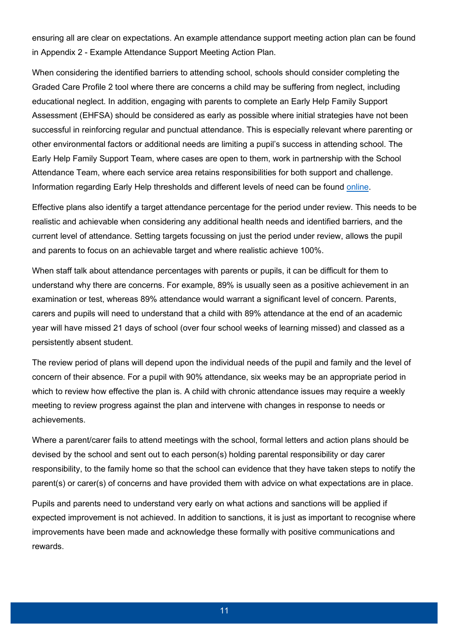ensuring all are clear on expectations. An example attendance support meeting action plan can be found in [Appendix 2 - Example Attendance Support Meeting Action Plan.](#page-26-0)

When considering the identified barriers to attending school, schools should consider completing the Graded Care Profile 2 tool where there are concerns a child may be suffering from neglect, including educational neglect. In addition, engaging with parents to complete an Early Help Family Support Assessment (EHFSA) should be considered as early as possible where initial strategies have not been successful in reinforcing regular and punctual attendance. This is especially relevant where parenting or other environmental factors or additional needs are limiting a pupil's success in attending school. The Early Help Family Support Team, where cases are open to them, work in partnership with the School Attendance Team, where each service area retains responsibilities for both support and challenge. Information regarding Early Help thresholds and different levels of need can be found [online.](https://safeguardingsouthend.co.uk/downloads-children/?search=threshold&-DtKWIjGei=*G%5BsvEjAon_kp&WKbrwaRGB_XQNoe=jc.S*A&MZFxNvHj-rK=J_F7XqL%40WRh%5B4m1&-DtKWIjGei=*G%5BsvEjAon_kp&WKbrwaRGB_XQNoe=jc.S*A&MZFxNvHj-rK=J_F7XqL%40WRh%5B4m1)

Effective plans also identify a target attendance percentage for the period under review. This needs to be realistic and achievable when considering any additional health needs and identified barriers, and the current level of attendance. Setting targets focussing on just the period under review, allows the pupil and parents to focus on an achievable target and where realistic achieve 100%.

When staff talk about attendance percentages with parents or pupils, it can be difficult for them to understand why there are concerns. For example, 89% is usually seen as a positive achievement in an examination or test, whereas 89% attendance would warrant a significant level of concern. Parents, carers and pupils will need to understand that a child with 89% attendance at the end of an academic year will have missed 21 days of school (over four school weeks of learning missed) and classed as a persistently absent student.

The review period of plans will depend upon the individual needs of the pupil and family and the level of concern of their absence. For a pupil with 90% attendance, six weeks may be an appropriate period in which to review how effective the plan is. A child with chronic attendance issues may require a weekly meeting to review progress against the plan and intervene with changes in response to needs or achievements.

Where a parent/carer fails to attend meetings with the school, formal letters and action plans should be devised by the school and sent out to each person(s) holding parental responsibility or day carer responsibility, to the family home so that the school can evidence that they have taken steps to notify the parent(s) or carer(s) of concerns and have provided them with advice on what expectations are in place.

Pupils and parents need to understand very early on what actions and sanctions will be applied if expected improvement is not achieved. In addition to sanctions, it is just as important to recognise where improvements have been made and acknowledge these formally with positive communications and rewards.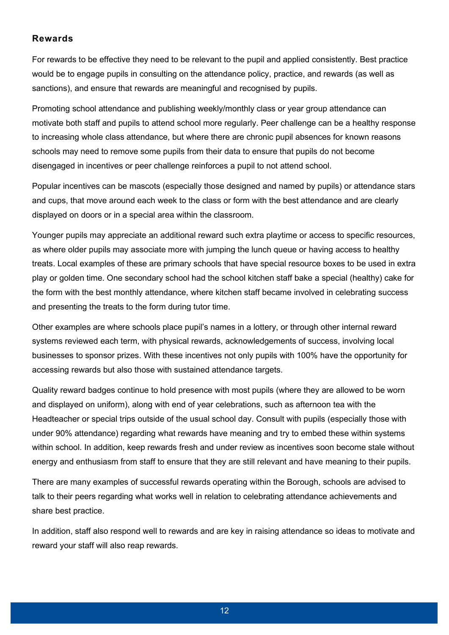#### **Rewards**

For rewards to be effective they need to be relevant to the pupil and applied consistently. Best practice would be to engage pupils in consulting on the attendance policy, practice, and rewards (as well as sanctions), and ensure that rewards are meaningful and recognised by pupils.

Promoting school attendance and publishing weekly/monthly class or year group attendance can motivate both staff and pupils to attend school more regularly. Peer challenge can be a healthy response to increasing whole class attendance, but where there are chronic pupil absences for known reasons schools may need to remove some pupils from their data to ensure that pupils do not become disengaged in incentives or peer challenge reinforces a pupil to not attend school.

Popular incentives can be mascots (especially those designed and named by pupils) or attendance stars and cups, that move around each week to the class or form with the best attendance and are clearly displayed on doors or in a special area within the classroom.

Younger pupils may appreciate an additional reward such extra playtime or access to specific resources, as where older pupils may associate more with jumping the lunch queue or having access to healthy treats. Local examples of these are primary schools that have special resource boxes to be used in extra play or golden time. One secondary school had the school kitchen staff bake a special (healthy) cake for the form with the best monthly attendance, where kitchen staff became involved in celebrating success and presenting the treats to the form during tutor time.

Other examples are where schools place pupil's names in a lottery, or through other internal reward systems reviewed each term, with physical rewards, acknowledgements of success, involving local businesses to sponsor prizes. With these incentives not only pupils with 100% have the opportunity for accessing rewards but also those with sustained attendance targets.

Quality reward badges continue to hold presence with most pupils (where they are allowed to be worn and displayed on uniform), along with end of year celebrations, such as afternoon tea with the Headteacher or special trips outside of the usual school day. Consult with pupils (especially those with under 90% attendance) regarding what rewards have meaning and try to embed these within systems within school. In addition, keep rewards fresh and under review as incentives soon become stale without energy and enthusiasm from staff to ensure that they are still relevant and have meaning to their pupils.

There are many examples of successful rewards operating within the Borough, schools are advised to talk to their peers regarding what works well in relation to celebrating attendance achievements and share best practice.

In addition, staff also respond well to rewards and are key in raising attendance so ideas to motivate and reward your staff will also reap rewards.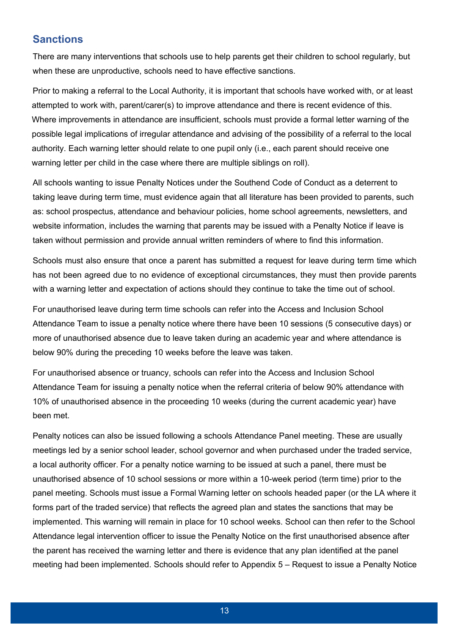# <span id="page-12-0"></span>**Sanctions**

There are many interventions that schools use to help parents get their children to school regularly, but when these are unproductive, schools need to have effective sanctions.

Prior to making a referral to the Local Authority, it is important that schools have worked with, or at least attempted to work with, parent/carer(s) to improve attendance and there is recent evidence of this. Where improvements in attendance are insufficient, schools must provide a formal letter warning of the possible legal implications of irregular attendance and advising of the possibility of a referral to the local authority. Each warning letter should relate to one pupil only (i.e., each parent should receive one warning letter per child in the case where there are multiple siblings on roll).

All schools wanting to issue Penalty Notices under the Southend Code of Conduct as a deterrent to taking leave during term time, must evidence again that all literature has been provided to parents, such as: school prospectus, attendance and behaviour policies, home school agreements, newsletters, and website information, includes the warning that parents may be issued with a Penalty Notice if leave is taken without permission and provide annual written reminders of where to find this information.

Schools must also ensure that once a parent has submitted a request for leave during term time which has not been agreed due to no evidence of exceptional circumstances, they must then provide parents with a warning letter and expectation of actions should they continue to take the time out of school.

For unauthorised leave during term time schools can refer into the Access and Inclusion School Attendance Team to issue a penalty notice where there have been 10 sessions (5 consecutive days) or more of unauthorised absence due to leave taken during an academic year and where attendance is below 90% during the preceding 10 weeks before the leave was taken.

For unauthorised absence or truancy, schools can refer into the Access and Inclusion School Attendance Team for issuing a penalty notice when the referral criteria of below 90% attendance with 10% of unauthorised absence in the proceeding 10 weeks (during the current academic year) have been met.

Penalty notices can also be issued following a schools Attendance Panel meeting. These are usually meetings led by a senior school leader, school governor and when purchased under the traded service, a local authority officer. For a penalty notice warning to be issued at such a panel, there must be unauthorised absence of 10 school sessions or more within a 10-week period (term time) prior to the panel meeting. Schools must issue a Formal Warning letter on schools headed paper (or the LA where it forms part of the traded service) that reflects the agreed plan and states the sanctions that may be implemented. This warning will remain in place for 10 school weeks. School can then refer to the School Attendance legal intervention officer to issue the Penalty Notice on the first unauthorised absence after the parent has received the warning letter and there is evidence that any plan identified at the panel meeting had been implemented. Schools should refer t[o Appendix 5 – Request to issue a Penalty Notice](#page-33-0)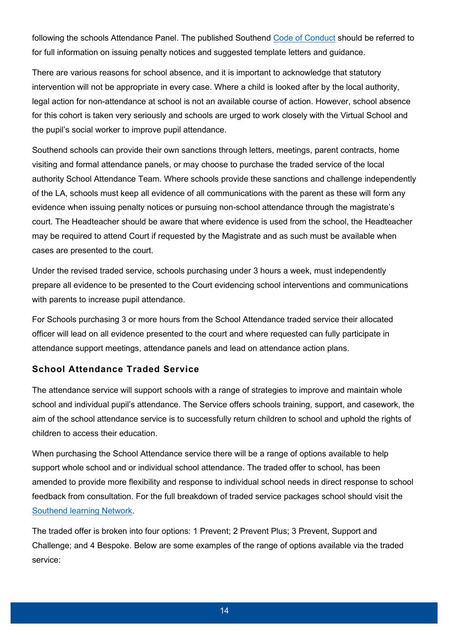[following the schools Attendance Panel.](#page-33-0) The published Southend [Code of Conduct](https://www.southend.gov.uk/downloads/file/3606/amendment-to-sbc-code-of-conduct-under-the-provision-of-the-education-penalty-notices-regulation-2004) should be referred to for full information on issuing penalty notices and suggested template letters and guidance.

There are various reasons for school absence, and it is important to acknowledge that statutory intervention will not be appropriate in every case. Where a child is looked after by the local authority, legal action for non-attendance at school is not an available course of action. However, school absence for this cohort is taken very seriously and schools are urged to work closely with the Virtual School and the pupil's social worker to improve pupil attendance.

Southend schools can provide their own sanctions through letters, meetings, parent contracts, home visiting and formal attendance panels, or may choose to purchase the traded service of the local authority School Attendance Team. Where schools provide these sanctions and challenge independently of the LA, schools must keep all evidence of all communications with the parent as these will form any evidence when issuing penalty notices or pursuing non-school attendance through the magistrate's court. The Headteacher should be aware that where evidence is used from the school, the Headteacher may be required to attend Court if requested by the Magistrate and as such must be available when cases are presented to the court.

Under the revised traded service, schools purchasing under 3 hours a week, must independently prepare all evidence to be presented to the Court evidencing school interventions and communications with parents to increase pupil attendance.

For Schools purchasing 3 or more hours from the School Attendance traded service their allocated officer will lead on all evidence presented to the court and where requested can fully participate in attendance support meetings, attendance panels and lead on attendance action plans.

#### **School Attendance Traded Service**

The attendance service will support schools with a range of strategies to improve and maintain whole school and individual pupil's attendance. The Service offers schools training, support, and casework, the aim of the school attendance service is to successfully return children to school and uphold the rights of children to access their education.

When purchasing the School Attendance service there will be a range of options available to help support whole school and or individual school attendance. The traded offer to school, has been amended to provide more flexibility and response to individual school needs in direct response to school feedback from consultation. For the full breakdown of traded service packages school should visit the [Southend learning Network.](https://www.southendlearningnetwork.co.uk/Services/207#:~:text=Packages%20Available%20to%20purchase)

The traded offer is broken into four options: 1 Prevent; 2 Prevent Plus; 3 Prevent, Support and Challenge; and 4 Bespoke. Below are some examples of the range of options available via the traded service: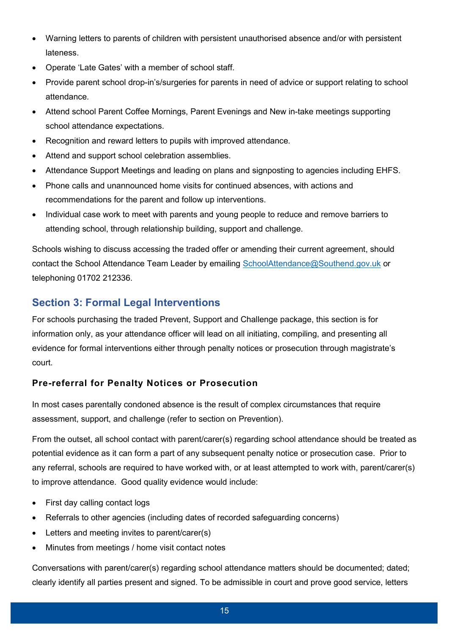- Warning letters to parents of children with persistent unauthorised absence and/or with persistent lateness.
- Operate 'Late Gates' with a member of school staff.
- Provide parent school drop-in's/surgeries for parents in need of advice or support relating to school attendance.
- Attend school Parent Coffee Mornings, Parent Evenings and New in-take meetings supporting school attendance expectations.
- Recognition and reward letters to pupils with improved attendance.
- Attend and support school celebration assemblies.
- Attendance Support Meetings and leading on plans and signposting to agencies including EHFS.
- Phone calls and unannounced home visits for continued absences, with actions and recommendations for the parent and follow up interventions.
- Individual case work to meet with parents and young people to reduce and remove barriers to attending school, through relationship building, support and challenge.

Schools wishing to discuss accessing the traded offer or amending their current agreement, should contact the School Attendance Team Leader by emailing [SchoolAttendance@Southend.gov.uk](mailto:SchoolAttendance@Southend.gov.uk) or telephoning 01702 212336.

# <span id="page-14-0"></span>**Section 3: Formal Legal Interventions**

For schools purchasing the traded Prevent, Support and Challenge package, this section is for information only, as your attendance officer will lead on all initiating, compiling, and presenting all evidence for formal interventions either through penalty notices or prosecution through magistrate's court.

#### **Pre-referral for Penalty Notices or Prosecution**

In most cases parentally condoned absence is the result of complex circumstances that require assessment, support, and challenge (refer to section on [Prevention\)](#page-9-0).

From the outset, all school contact with parent/carer(s) regarding school attendance should be treated as potential evidence as it can form a part of any subsequent penalty notice or prosecution case. Prior to any referral, schools are required to have worked with, or at least attempted to work with, parent/carer(s) to improve attendance. Good quality evidence would include:

- First day calling contact logs
- Referrals to other agencies (including dates of recorded safeguarding concerns)
- Letters and meeting invites to parent/carer(s)
- Minutes from meetings / home visit contact notes

Conversations with parent/carer(s) regarding school attendance matters should be documented; dated; clearly identify all parties present and signed. To be admissible in court and prove good service, letters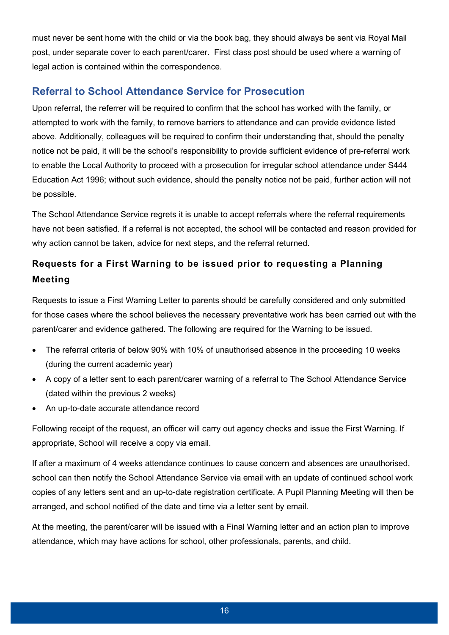must never be sent home with the child or via the book bag, they should always be sent via Royal Mail post, under separate cover to each parent/carer. First class post should be used where a warning of legal action is contained within the correspondence.

# <span id="page-15-0"></span>**Referral to School Attendance Service for Prosecution**

Upon referral, the referrer will be required to confirm that the school has worked with the family, or attempted to work with the family, to remove barriers to attendance and can provide evidence listed above. Additionally, colleagues will be required to confirm their understanding that, should the penalty notice not be paid, it will be the school's responsibility to provide sufficient evidence of pre-referral work to enable the Local Authority to proceed with a prosecution for irregular school attendance under S444 Education Act 1996; without such evidence, should the penalty notice not be paid, further action will not be possible.

The School Attendance Service regrets it is unable to accept referrals where the referral requirements have not been satisfied. If a referral is not accepted, the school will be contacted and reason provided for why action cannot be taken, advice for next steps, and the referral returned.

# **Requests for a First Warning to be issued prior to requesting a Planning Meeting**

Requests to issue a First Warning Letter to parents should be carefully considered and only submitted for those cases where the school believes the necessary preventative work has been carried out with the parent/carer and evidence gathered. The following are required for the Warning to be issued.

- The referral criteria of below 90% with 10% of unauthorised absence in the proceeding 10 weeks (during the current academic year)
- A copy of a letter sent to each parent/carer warning of a referral to The School Attendance Service (dated within the previous 2 weeks)
- An up-to-date accurate attendance record

Following receipt of the request, an officer will carry out agency checks and issue the First Warning. If appropriate, School will receive a copy via email.

If after a maximum of 4 weeks attendance continues to cause concern and absences are unauthorised, school can then notify the School Attendance Service via email with an update of continued school work copies of any letters sent and an up-to-date registration certificate. A Pupil Planning Meeting will then be arranged, and school notified of the date and time via a letter sent by email.

At the meeting, the parent/carer will be issued with a Final Warning letter and an action plan to improve attendance, which may have actions for school, other professionals, parents, and child.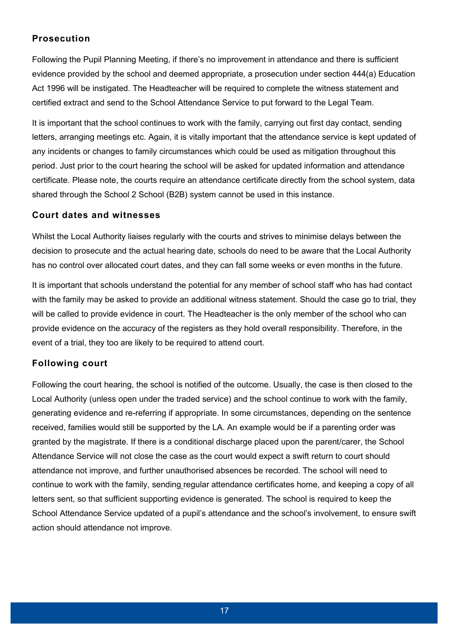#### **Prosecution**

Following the Pupil Planning Meeting, if there's no improvement in attendance and there is sufficient evidence provided by the school and deemed appropriate, a prosecution under section 444(a) Education Act 1996 will be instigated. The Headteacher will be required to complete the witness statement and certified extract and send to the School Attendance Service to put forward to the Legal Team.

It is important that the school continues to work with the family, carrying out first day contact, sending letters, arranging meetings etc. Again, it is vitally important that the attendance service is kept updated of any incidents or changes to family circumstances which could be used as mitigation throughout this period. Just prior to the court hearing the school will be asked for updated information and attendance certificate. Please note, the courts require an attendance certificate directly from the school system, data shared through the School 2 School (B2B) system cannot be used in this instance.

#### **Court dates and witnesses**

Whilst the Local Authority liaises regularly with the courts and strives to minimise delays between the decision to prosecute and the actual hearing date, schools do need to be aware that the Local Authority has no control over allocated court dates, and they can fall some weeks or even months in the future.

It is important that schools understand the potential for any member of school staff who has had contact with the family may be asked to provide an additional witness statement. Should the case go to trial, they will be called to provide evidence in court. The Headteacher is the only member of the school who can provide evidence on the accuracy of the registers as they hold overall responsibility. Therefore, in the event of a trial, they too are likely to be required to attend court.

#### **Following court**

Following the court hearing, the school is notified of the outcome. Usually, the case is then closed to the Local Authority (unless open under the traded service) and the school continue to work with the family, generating evidence and re-referring if appropriate. In some circumstances, depending on the sentence received, families would still be supported by the LA. An example would be if a parenting order was granted by the magistrate. If there is a conditional discharge placed upon the parent/carer, the School Attendance Service will not close the case as the court would expect a swift return to court should attendance not improve, and further unauthorised absences be recorded. The school will need to continue to work with the family, sending regular attendance certificates home, and keeping a copy of all letters sent, so that sufficient supporting evidence is generated. The school is required to keep the School Attendance Service updated of a pupil's attendance and the school's involvement, to ensure swift action should attendance not improve.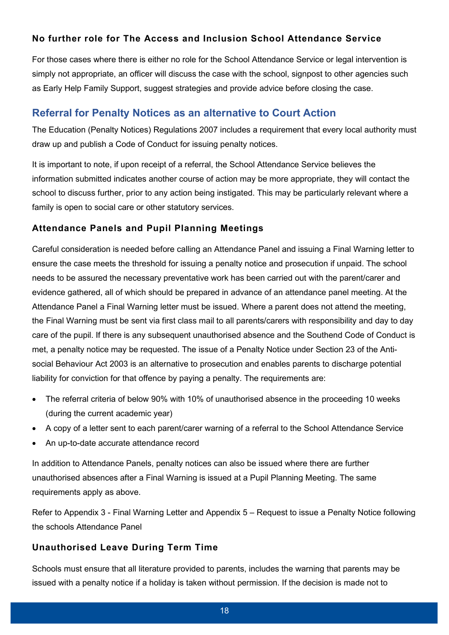#### **No further role for The Access and Inclusion School Attendance Service**

For those cases where there is either no role for the School Attendance Service or legal intervention is simply not appropriate, an officer will discuss the case with the school, signpost to other agencies such as Early Help Family Support, suggest strategies and provide advice before closing the case.

## <span id="page-17-0"></span>**Referral for Penalty Notices as an alternative to Court Action**

The Education (Penalty Notices) Regulations 2007 includes a requirement that every local authority must draw up and publish a Code of Conduct for issuing penalty notices.

It is important to note, if upon receipt of a referral, the School Attendance Service believes the information submitted indicates another course of action may be more appropriate, they will contact the school to discuss further, prior to any action being instigated. This may be particularly relevant where a family is open to social care or other statutory services.

#### **Attendance Panels and Pupil Planning Meetings**

Careful consideration is needed before calling an Attendance Panel and issuing a Final Warning letter to ensure the case meets the threshold for issuing a penalty notice and prosecution if unpaid. The school needs to be assured the necessary preventative work has been carried out with the parent/carer and evidence gathered, all of which should be prepared in advance of an attendance panel meeting. At the Attendance Panel a Final Warning letter must be issued. Where a parent does not attend the meeting, the Final Warning must be sent via first class mail to all parents/carers with responsibility and day to day care of the pupil. If there is any subsequent unauthorised absence and the Southend Code of Conduct is met, a penalty notice may be requested. The issue of a Penalty Notice under Section 23 of the Antisocial Behaviour Act 2003 is an alternative to prosecution and enables parents to discharge potential liability for conviction for that offence by paying a penalty. The requirements are:

- The referral criteria of below 90% with 10% of unauthorised absence in the proceeding 10 weeks (during the current academic year)
- A copy of a letter sent to each parent/carer warning of a referral to the School Attendance Service
- An up-to-date accurate attendance record

In addition to Attendance Panels, penalty notices can also be issued where there are further unauthorised absences after a Final Warning is issued at a Pupil Planning Meeting. The same requirements apply as above.

Refer to [Appendix 3 - Final Warning Letter](#page-29-0) and [Appendix 5 – Request to issue a Penalty Notice following](#page-33-0)  [the schools Attendance Panel](#page-33-0)

#### **Unauthorised Leave During Term Time**

Schools must ensure that all literature provided to parents, includes the warning that parents may be issued with a penalty notice if a holiday is taken without permission. If the decision is made not to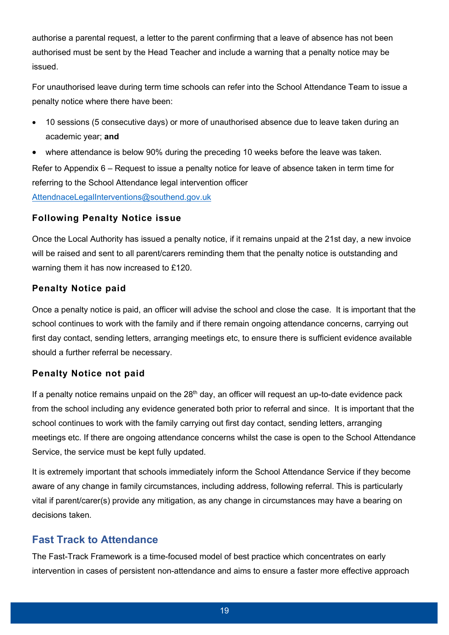authorise a parental request, a letter to the parent confirming that a leave of absence has not been authorised must be sent by the Head Teacher and include a warning that a penalty notice may be issued.

For unauthorised leave during term time schools can refer into the School Attendance Team to issue a penalty notice where there have been:

- 10 sessions (5 consecutive days) or more of unauthorised absence due to leave taken during an academic year; **and**
- where attendance is below 90% during the preceding 10 weeks before the leave was taken.

Refer to [Appendix 6 – Request to issue a penalty notice for leave of absence taken in term time](#page-34-0) for referring to the School Attendance legal intervention officer

[AttendnaceLegalInterventions@southend.gov.uk](mailto:AttendnaceLegalInterventions@southend.gov.uk)

#### **Following Penalty Notice issue**

Once the Local Authority has issued a penalty notice, if it remains unpaid at the 21st day, a new invoice will be raised and sent to all parent/carers reminding them that the penalty notice is outstanding and warning them it has now increased to £120.

#### **Penalty Notice paid**

Once a penalty notice is paid, an officer will advise the school and close the case. It is important that the school continues to work with the family and if there remain ongoing attendance concerns, carrying out first day contact, sending letters, arranging meetings etc, to ensure there is sufficient evidence available should a further referral be necessary.

#### **Penalty Notice not paid**

If a penalty notice remains unpaid on the  $28<sup>th</sup>$  day, an officer will request an up-to-date evidence pack from the school including any evidence generated both prior to referral and since. It is important that the school continues to work with the family carrying out first day contact, sending letters, arranging meetings etc. If there are ongoing attendance concerns whilst the case is open to the School Attendance Service, the service must be kept fully updated.

It is extremely important that schools immediately inform the School Attendance Service if they become aware of any change in family circumstances, including address, following referral. This is particularly vital if parent/carer(s) provide any mitigation, as any change in circumstances may have a bearing on decisions taken.

## <span id="page-18-0"></span>**Fast Track to Attendance**

The Fast-Track Framework is a time-focused model of best practice which concentrates on early intervention in cases of persistent non-attendance and aims to ensure a faster more effective approach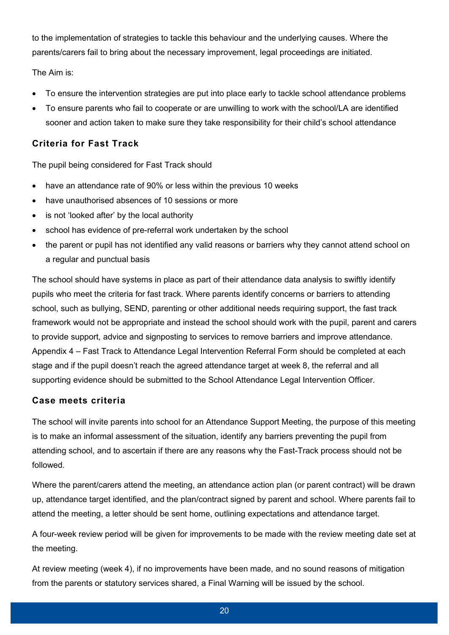to the implementation of strategies to tackle this behaviour and the underlying causes. Where the parents/carers fail to bring about the necessary improvement, legal proceedings are initiated.

The Aim is:

- To ensure the intervention strategies are put into place early to tackle school attendance problems
- To ensure parents who fail to cooperate or are unwilling to work with the school/LA are identified sooner and action taken to make sure they take responsibility for their child's school attendance

#### **Criteria for Fast Track**

The pupil being considered for Fast Track should

- have an attendance rate of 90% or less within the previous 10 weeks
- have unauthorised absences of 10 sessions or more
- is not 'looked after' by the local authority
- school has evidence of pre-referral work undertaken by the school
- the parent or pupil has not identified any valid reasons or barriers why they cannot attend school on a regular and punctual basis

The school should have systems in place as part of their attendance data analysis to swiftly identify pupils who meet the criteria for fast track. Where parents identify concerns or barriers to attending school, such as bullying, SEND, parenting or other additional needs requiring support, the fast track framework would not be appropriate and instead the school should work with the pupil, parent and carers to provide support, advice and signposting to services to remove barriers and improve attendance. [Appendix 4 – Fast Track to Attendance Legal Intervention Referral Form](#page-30-0) should be completed at each stage and if the pupil doesn't reach the agreed attendance target at week 8, the referral and all supporting evidence should be submitted to the School Attendance Legal Intervention Officer.

#### **Case meets criteria**

The school will invite parents into school for an Attendance Support Meeting, the purpose of this meeting is to make an informal assessment of the situation, identify any barriers preventing the pupil from attending school, and to ascertain if there are any reasons why the Fast-Track process should not be followed.

Where the parent/carers attend the meeting, an attendance action plan (or parent contract) will be drawn up, attendance target identified, and the plan/contract signed by parent and school. Where parents fail to attend the meeting, a letter should be sent home, outlining expectations and attendance target.

A four-week review period will be given for improvements to be made with the review meeting date set at the meeting.

At review meeting (week 4), if no improvements have been made, and no sound reasons of mitigation from the parents or statutory services shared, a Final Warning will be issued by the school.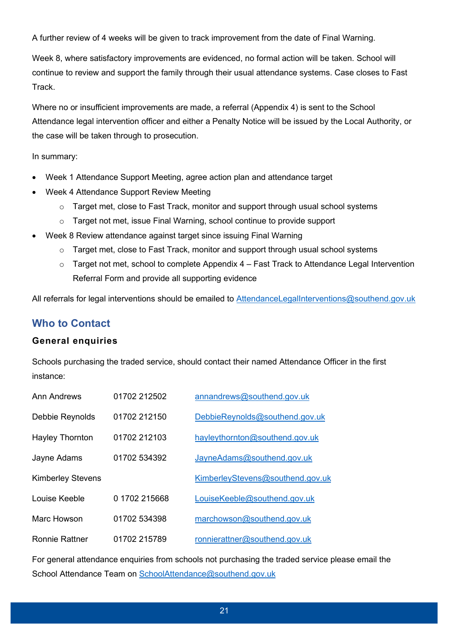A further review of 4 weeks will be given to track improvement from the date of Final Warning.

Week 8, where satisfactory improvements are evidenced, no formal action will be taken. School will continue to review and support the family through their usual attendance systems. Case closes to Fast Track.

Where no or insufficient improvements are made, a referral (Appendix 4) is sent to the School Attendance legal intervention officer and either a Penalty Notice will be issued by the Local Authority, or the case will be taken through to prosecution.

In summary:

- Week 1 Attendance Support Meeting, agree action plan and attendance target
- Week 4 Attendance Support Review Meeting
	- o Target met, close to Fast Track, monitor and support through usual school systems
	- o Target not met, issue Final Warning, school continue to provide support
- Week 8 Review attendance against target since issuing Final Warning
	- $\circ$  Target met, close to Fast Track, monitor and support through usual school systems
	- $\circ$  Target not met, school to complete [Appendix 4 Fast Track to Attendance Legal Intervention](#page-30-0) [Referral Form](#page-30-0) and provide all supporting evidence

All referrals for legal interventions should be emailed to [AttendanceLegalInterventions@southend.gov.uk](mailto:AttendanceLegalInterventions@southend.gov.uk)

## <span id="page-20-0"></span>**Who to Contact**

#### **General enquiries**

Schools purchasing the traded service, should contact their named Attendance Officer in the first instance:

| <b>Ann Andrews</b>       | 01702 212502  | annandrews@southend.gov.uk       |
|--------------------------|---------------|----------------------------------|
| Debbie Reynolds          | 01702 212150  | DebbieReynolds@southend.gov.uk   |
| <b>Hayley Thornton</b>   | 01702 212103  | hayleythornton@southend.gov.uk   |
| Jayne Adams              | 01702 534392  | JayneAdams@southend.gov.uk       |
| <b>Kimberley Stevens</b> |               | KimberleyStevens@southend.gov.uk |
| Louise Keeble            | 0 1702 215668 | LouiseKeeble@southend.gov.uk     |
| Marc Howson              | 01702 534398  | marchowson@southend.gov.uk       |
| <b>Ronnie Rattner</b>    | 01702 215789  | ronnierattner@southend.gov.uk    |

For general attendance enquiries from schools not purchasing the traded service please email the School Attendance Team on [SchoolAttendance@southend.gov.uk](mailto:SchoolAttendance@southend.gov.uk)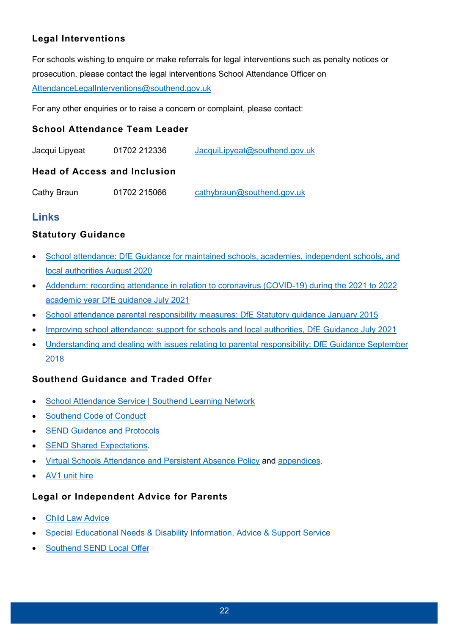## **Legal Interventions**

For schools wishing to enquire or make referrals for legal interventions such as penalty notices or prosecution, please contact the legal interventions School Attendance Officer on [AttendanceLegalInterventions@southend.gov.uk](mailto:AttendanceLegalInterventions@southend.gov.uk)

For any other enquiries or to raise a concern or complaint, please contact:

#### **School Attendance Team Leader**

| Jacqui Lipyeat | 01702 212336 | JacquiLipyeat@southend.gov.uk |
|----------------|--------------|-------------------------------|
|                |              |                               |

#### **Head of Access and Inclusion**

Cathy Braun 01702 215066 [cathybraun@southend.gov.uk](mailto:cathybraun@southend.gov.uk)

## <span id="page-21-0"></span>**Links**

#### **Statutory Guidance**

- [School attendance: DfE Guidance for maintained schools, academies, independent schools, and](https://assets.publishing.service.gov.uk/government/uploads/system/uploads/attachment_data/file/907535/School_attendance_guidance_for_2020_to_2021_academic_year.pdf) [local authorities August 2020](https://assets.publishing.service.gov.uk/government/uploads/system/uploads/attachment_data/file/907535/School_attendance_guidance_for_2020_to_2021_academic_year.pdf)
- [Addendum: recording attendance in relation to coronavirus \(COVID-19\) during the 2021 to 2022](https://www.gov.uk/government/publications/school-attendance/addendum-recording-attendance-in-relation-to-coronavirus-covid-19-during-the-2021-to-2022-academic-year) [academic year DfE guidance July 2021](https://www.gov.uk/government/publications/school-attendance/addendum-recording-attendance-in-relation-to-coronavirus-covid-19-during-the-2021-to-2022-academic-year)
- [School attendance parental responsibility measures: DfE Statutory guidance January 2015](https://assets.publishing.service.gov.uk/government/uploads/system/uploads/attachment_data/file/581539/School_attendance_parental_responsibility_measures_statutory_guidance.pdf)
- [Improving school attendance: support for schools and local authorities, DfE Guidance July 2021](https://www.gov.uk/government/publications/school-attendance/framework-for-securing-full-attendance-actions-for-schools-and-local-authorities)
- [Understanding and dealing with issues relating to parental responsibility: DfE Guidance September](https://www.gov.uk/government/publications/dealing-with-issues-relating-to-parental-responsibility/understanding-and-dealing-with-issues-relating-to-parental-responsibility) [2018](https://www.gov.uk/government/publications/dealing-with-issues-relating-to-parental-responsibility/understanding-and-dealing-with-issues-relating-to-parental-responsibility)

#### **Southend Guidance and Traded Offer**

- [School Attendance Service | Southend Learning Network](https://www.southendlearningnetwork.co.uk/Services/207)
- [Southend Code of Conduct](https://www.southend.gov.uk/downloads/file/3606/amendment-to-sbc-code-of-conduct-under-the-provision-of-the-education-penalty-notices-regulation-2004)
- **[SEND Guidance and Protocols](https://www.southendlearningnetwork.co.uk/Page/16105)**
- [SEND Shared Expectations.](https://www.southendlearningnetwork.co.uk/Pages/Download/8d304221-11e5-4243-baeb-126227b0c98e/PageSectionDocuments)
- [Virtual Schools Attendance and Persistent Absence Policy](https://southendvirtualschool.co.uk/Pages/Download/f0642b8e-75bf-444d-9c26-8a238cd823f2/PageSectionDocuments) and [appendices.](https://southendvirtualschool.co.uk/Page/3732)
- [AV1 unit hire](https://www.southendlearningnetwork.co.uk/Services/5815)

#### **Legal or Independent Advice for Parents**

- [Child Law Advice](https://childlawadvice.org.uk/information-pages/school-attendance-and-absence/)
- [Special Educational Needs & Disability Information, Advice & Support Service](https://www.sendiasssouthend.co.uk/who-we-are/)
- [Southend SEND Local Offer](https://livewellsouthend.com/kb5/southendonsea/directory/localoffer.page?localofferchannel=0#:~:text=Welcome%20to%20the%20Southend%20Local%20Offer%2C%20which%20provides,an%20EHC%20Assessment%2C%20please%20visit%20the%20EHC%20Hub)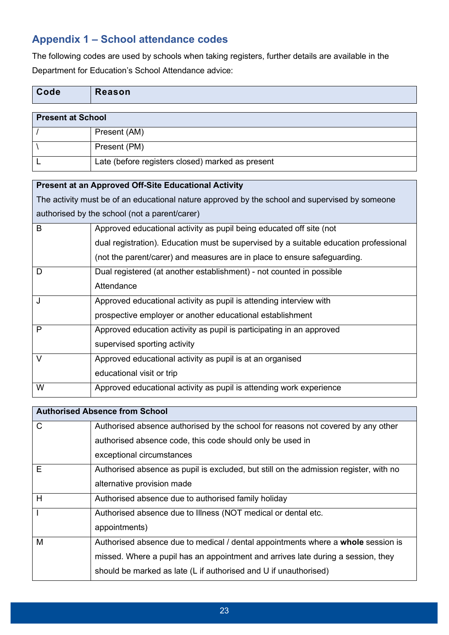# <span id="page-22-0"></span>**Appendix 1 – School attendance codes**

The following codes are used by schools when taking registers, further details are available in the Department for Education's School Attendance advice:

| Code | Reason |
|------|--------|
|      |        |

| <b>Present at School</b> |                                                  |
|--------------------------|--------------------------------------------------|
|                          | Present (AM)                                     |
|                          | Present (PM)                                     |
|                          | Late (before registers closed) marked as present |

#### **Present at an Approved Off-Site Educational Activity**

The activity must be of an educational nature approved by the school and supervised by someone authorised by the school (not a parent/carer)

| B            | Approved educational activity as pupil being educated off site (not                   |
|--------------|---------------------------------------------------------------------------------------|
|              | dual registration). Education must be supervised by a suitable education professional |
|              | (not the parent/carer) and measures are in place to ensure safeguarding.              |
| D            | Dual registered (at another establishment) - not counted in possible                  |
|              | Attendance                                                                            |
| J            | Approved educational activity as pupil is attending interview with                    |
|              | prospective employer or another educational establishment                             |
| $\mathsf{P}$ | Approved education activity as pupil is participating in an approved                  |
|              | supervised sporting activity                                                          |
| $\vee$       | Approved educational activity as pupil is at an organised                             |
|              | educational visit or trip                                                             |
| W            | Approved educational activity as pupil is attending work experience                   |

|              | <b>Authorised Absence from School</b>                                                 |
|--------------|---------------------------------------------------------------------------------------|
| $\mathsf{C}$ | Authorised absence authorised by the school for reasons not covered by any other      |
|              | authorised absence code, this code should only be used in                             |
|              | exceptional circumstances                                                             |
| E            | Authorised absence as pupil is excluded, but still on the admission register, with no |
|              | alternative provision made                                                            |
| H            | Authorised absence due to authorised family holiday                                   |
| $\mathbf{I}$ | Authorised absence due to Illness (NOT medical or dental etc.                         |
|              | appointments)                                                                         |
| M            | Authorised absence due to medical / dental appointments where a whole session is      |
|              | missed. Where a pupil has an appointment and arrives late during a session, they      |
|              | should be marked as late (L if authorised and U if unauthorised)                      |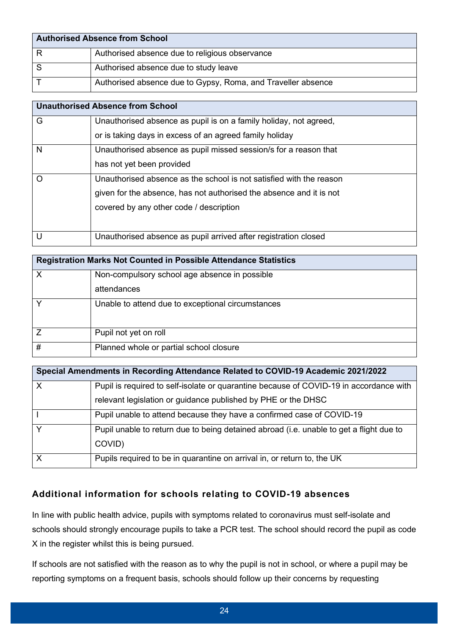| <b>Authorised Absence from School</b> |                                                              |
|---------------------------------------|--------------------------------------------------------------|
|                                       | Authorised absence due to religious observance               |
|                                       | Authorised absence due to study leave                        |
|                                       | Authorised absence due to Gypsy, Roma, and Traveller absence |

|   | <b>Unauthorised Absence from School</b>                             |
|---|---------------------------------------------------------------------|
| G | Unauthorised absence as pupil is on a family holiday, not agreed,   |
|   | or is taking days in excess of an agreed family holiday             |
| N | Unauthorised absence as pupil missed session/s for a reason that    |
|   | has not yet been provided                                           |
| O | Unauthorised absence as the school is not satisfied with the reason |
|   | given for the absence, has not authorised the absence and it is not |
|   | covered by any other code / description                             |
|   |                                                                     |
| U | Unauthorised absence as pupil arrived after registration closed     |

| <b>Registration Marks Not Counted in Possible Attendance Statistics</b> |                                                   |  |
|-------------------------------------------------------------------------|---------------------------------------------------|--|
| X                                                                       | Non-compulsory school age absence in possible     |  |
|                                                                         | attendances                                       |  |
| $\checkmark$                                                            | Unable to attend due to exceptional circumstances |  |
|                                                                         | Pupil not yet on roll                             |  |
| #                                                                       | Planned whole or partial school closure           |  |

| Special Amendments in Recording Attendance Related to COVID-19 Academic 2021/2022 |                                                                                                   |  |
|-----------------------------------------------------------------------------------|---------------------------------------------------------------------------------------------------|--|
| $\mathsf{X}$                                                                      | Pupil is required to self-isolate or quarantine because of COVID-19 in accordance with            |  |
|                                                                                   | relevant legislation or guidance published by PHE or the DHSC                                     |  |
|                                                                                   | Pupil unable to attend because they have a confirmed case of COVID-19                             |  |
| $\vee$                                                                            | Pupil unable to return due to being detained abroad (i.e. unable to get a flight due to<br>COVID) |  |
| $\mathsf{X}$                                                                      | Pupils required to be in quarantine on arrival in, or return to, the UK                           |  |

#### **Additional information for schools relating to COVID-19 absences**

In line with public health advice, pupils with symptoms related to coronavirus must self-isolate and schools should strongly encourage pupils to take a PCR test. The school should record the pupil as code X in the register whilst this is being pursued.

If schools are not satisfied with the reason as to why the pupil is not in school, or where a pupil may be reporting symptoms on a frequent basis, schools should follow up their concerns by requesting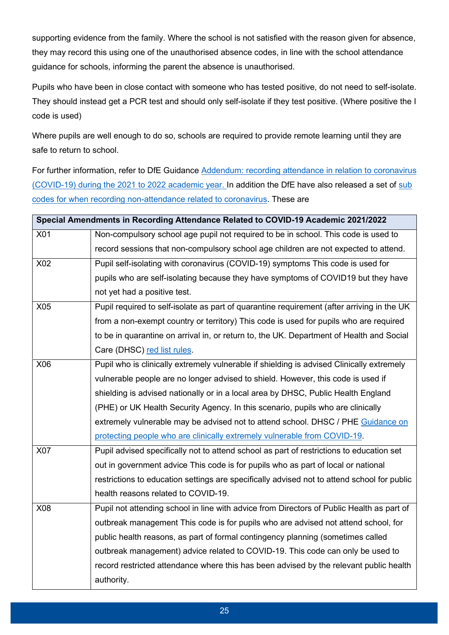supporting evidence from the family. Where the school is not satisfied with the reason given for absence, they may record this using one of the unauthorised absence codes, in line with the school attendance guidance for schools, informing the parent the absence is unauthorised.

Pupils who have been in close contact with someone who has tested positive, do not need to self-isolate. They should instead get a PCR test and should only self-isolate if they test positive. (Where positive the I code is used)

Where pupils are well enough to do so, schools are required to provide remote learning until they are safe to return to school.

For further information, refer to DfE Guidance [Addendum: recording attendance in relation to coronavirus](https://www.gov.uk/government/publications/school-attendance/addendum-recording-attendance-in-relation-to-coronavirus-covid-19-during-the-2021-to-2022-academic-year)  [\(COVID-19\) during the 2021 to 2022 academic year.](https://www.gov.uk/government/publications/school-attendance/addendum-recording-attendance-in-relation-to-coronavirus-covid-19-during-the-2021-to-2022-academic-year) In addition the DfE have also released a set of sub [codes for when recording non-attendance related to coronavirus.](https://assets.publishing.service.gov.uk/government/uploads/system/uploads/attachment_data/file/1012256/Recording_non-attendance_related_to_coronavirus__COVID19__sub-codes.pdf) These are

|     | Special Amendments in Recording Attendance Related to COVID-19 Academic 2021/2022           |
|-----|---------------------------------------------------------------------------------------------|
| X01 | Non-compulsory school age pupil not required to be in school. This code is used to          |
|     | record sessions that non-compulsory school age children are not expected to attend.         |
| X02 | Pupil self-isolating with coronavirus (COVID-19) symptoms This code is used for             |
|     | pupils who are self-isolating because they have symptoms of COVID19 but they have           |
|     | not yet had a positive test.                                                                |
| X05 | Pupil required to self-isolate as part of quarantine requirement (after arriving in the UK  |
|     | from a non-exempt country or territory) This code is used for pupils who are required       |
|     | to be in quarantine on arrival in, or return to, the UK. Department of Health and Social    |
|     | Care (DHSC) red list rules.                                                                 |
| X06 | Pupil who is clinically extremely vulnerable if shielding is advised Clinically extremely   |
|     | vulnerable people are no longer advised to shield. However, this code is used if            |
|     | shielding is advised nationally or in a local area by DHSC, Public Health England           |
|     | (PHE) or UK Health Security Agency. In this scenario, pupils who are clinically             |
|     | extremely vulnerable may be advised not to attend school. DHSC / PHE Guidance on            |
|     | protecting people who are clinically extremely vulnerable from COVID-19.                    |
| X07 | Pupil advised specifically not to attend school as part of restrictions to education set    |
|     | out in government advice This code is for pupils who as part of local or national           |
|     | restrictions to education settings are specifically advised not to attend school for public |
|     | health reasons related to COVID-19.                                                         |
| X08 | Pupil not attending school in line with advice from Directors of Public Health as part of   |
|     | outbreak management This code is for pupils who are advised not attend school, for          |
|     | public health reasons, as part of formal contingency planning (sometimes called             |
|     | outbreak management) advice related to COVID-19. This code can only be used to              |
|     | record restricted attendance where this has been advised by the relevant public health      |
|     | authority.                                                                                  |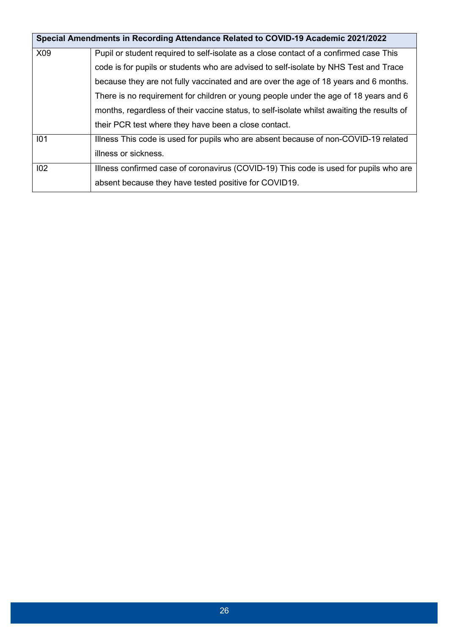|     | Special Amendments in Recording Attendance Related to COVID-19 Academic 2021/2022          |
|-----|--------------------------------------------------------------------------------------------|
| X09 | Pupil or student required to self-isolate as a close contact of a confirmed case This      |
|     | code is for pupils or students who are advised to self-isolate by NHS Test and Trace       |
|     | because they are not fully vaccinated and are over the age of 18 years and 6 months.       |
|     | There is no requirement for children or young people under the age of 18 years and 6       |
|     | months, regardless of their vaccine status, to self-isolate whilst awaiting the results of |
|     | their PCR test where they have been a close contact.                                       |
| 101 | Illness This code is used for pupils who are absent because of non-COVID-19 related        |
|     | illness or sickness.                                                                       |
| 102 | Illness confirmed case of coronavirus (COVID-19) This code is used for pupils who are      |
|     | absent because they have tested positive for COVID19.                                      |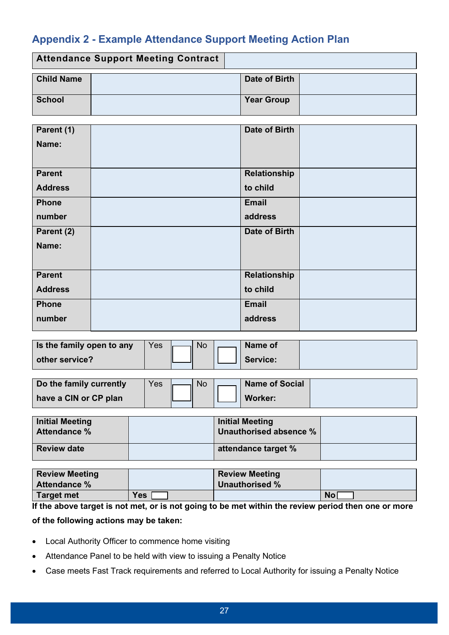# <span id="page-26-0"></span>**Appendix 2 - Example Attendance Support Meeting Action Plan**

| <b>Attendance Support Meeting Contract</b> |  |                   |  |
|--------------------------------------------|--|-------------------|--|
| <b>Child Name</b>                          |  | Date of Birth     |  |
| School                                     |  | <b>Year Group</b> |  |

| Parent (1)     | Date of Birth |  |
|----------------|---------------|--|
| Name:          |               |  |
|                |               |  |
| <b>Parent</b>  | Relationship  |  |
| <b>Address</b> | to child      |  |
| <b>Phone</b>   | Email         |  |
| number         | address       |  |
| Parent (2)     | Date of Birth |  |
| Name:          |               |  |
|                |               |  |
| <b>Parent</b>  | Relationship  |  |
| <b>Address</b> | to child      |  |
| <b>Phone</b>   | Email         |  |
| number         | address       |  |

| Is the family open to any | Yes | <b>No</b> | Name of         |  |
|---------------------------|-----|-----------|-----------------|--|
| other service?            |     |           | <b>Service:</b> |  |

| Do the family currently | Yes | <b>No</b> | Name of Social |  |
|-------------------------|-----|-----------|----------------|--|
| have a CIN or CP plan   |     |           | <b>Worker:</b> |  |

| Initial Meeting<br><b>Attendance %</b> | <b>Initial Meeting</b><br>Unauthorised absence % |  |
|----------------------------------------|--------------------------------------------------|--|
| <b>Review date</b>                     | attendance target %                              |  |

| <b>Review Meeting</b> |            | <b>Review Meeting</b> |           |
|-----------------------|------------|-----------------------|-----------|
| <b>Attendance %</b>   |            | Unauthorised %        |           |
| Target met            | <b>Yes</b> |                       | <b>No</b> |

**If the above target is not met, or is not going to be met within the review period then one or more** 

**of the following actions may be taken:** 

- Local Authority Officer to commence home visiting
- Attendance Panel to be held with view to issuing a Penalty Notice
- Case meets Fast Track requirements and referred to Local Authority for issuing a Penalty Notice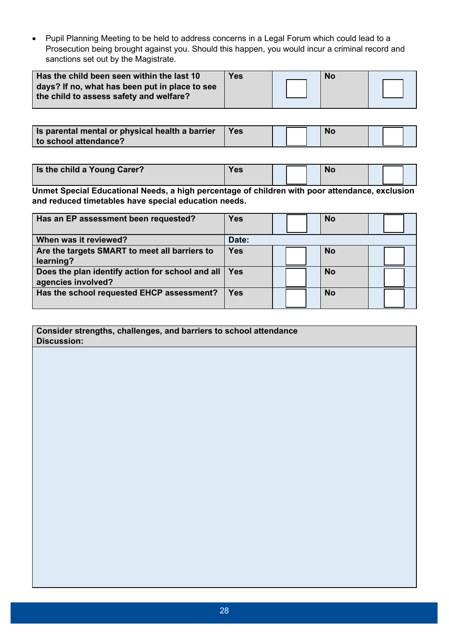Pupil Planning Meeting to be held to address concerns in a Legal Forum which could lead to a Prosecution being brought against you. Should this happen, you would incur a criminal record and sanctions set out by the Magistrate.

| Has the child been seen within the last 10                                                | <b>Yes</b> | <b>No</b> |  |
|-------------------------------------------------------------------------------------------|------------|-----------|--|
| days? If no, what has been put in place to see<br>the child to assess safety and welfare? |            |           |  |

**Is parental mental or physical health a barrier to school attendance?**  Yes | Mo

| Is the child a Young Carer? | <b>Yes</b> |  | <b>NO</b> |  |  |
|-----------------------------|------------|--|-----------|--|--|
|                             |            |  |           |  |  |

**Unmet Special Educational Needs, a high percentage of children with poor attendance, exclusion and reduced timetables have special education needs.** 

| Has an EP assessment been requested?                                   | <b>Yes</b> | <b>No</b> |  |
|------------------------------------------------------------------------|------------|-----------|--|
| When was it reviewed?                                                  | Date:      |           |  |
| Are the targets SMART to meet all barriers to<br>learning?             | <b>Yes</b> | <b>No</b> |  |
| Does the plan identify action for school and all<br>agencies involved? | Yes.       | <b>No</b> |  |
| Has the school requested EHCP assessment?                              | Yes        | <b>No</b> |  |

**Consider strengths, challenges, and barriers to school attendance Discussion:**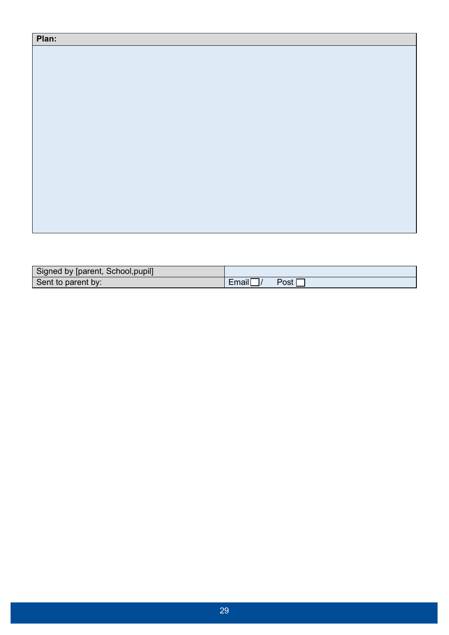| Plan: |  |  |
|-------|--|--|
|       |  |  |
|       |  |  |
|       |  |  |
|       |  |  |
|       |  |  |
|       |  |  |
|       |  |  |
|       |  |  |
|       |  |  |
|       |  |  |
|       |  |  |
|       |  |  |
|       |  |  |
|       |  |  |

| Signed by [parent, School, pupil] |       |      |
|-----------------------------------|-------|------|
| Sent to parent by:                | Email | Post |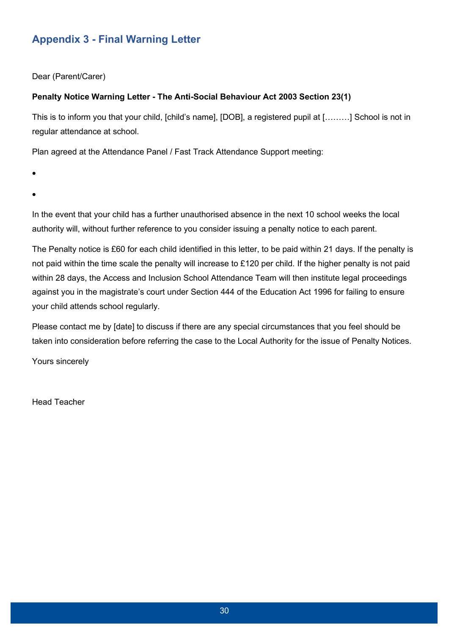# <span id="page-29-0"></span>**Appendix 3 - Final Warning Letter**

Dear (Parent/Carer)

#### **Penalty Notice Warning Letter - The Anti-Social Behaviour Act 2003 Section 23(1)**

This is to inform you that your child, [child's name], [DOB], a registered pupil at [………] School is not in regular attendance at school.

Plan agreed at the Attendance Panel / Fast Track Attendance Support meeting:

- $\bullet$
- $\bullet$

In the event that your child has a further unauthorised absence in the next 10 school weeks the local authority will, without further reference to you consider issuing a penalty notice to each parent.

The Penalty notice is £60 for each child identified in this letter, to be paid within 21 days. If the penalty is not paid within the time scale the penalty will increase to £120 per child. If the higher penalty is not paid within 28 days, the Access and Inclusion School Attendance Team will then institute legal proceedings against you in the magistrate's court under Section 444 of the Education Act 1996 for failing to ensure your child attends school regularly.

Please contact me by [date] to discuss if there are any special circumstances that you feel should be taken into consideration before referring the case to the Local Authority for the issue of Penalty Notices.

Yours sincerely

Head Teacher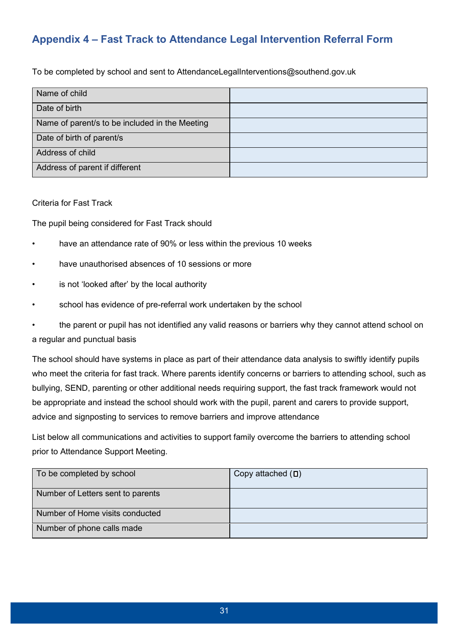# <span id="page-30-0"></span>**Appendix 4 – Fast Track to Attendance Legal Intervention Referral Form**

To be completed by school and sent to AttendanceLegalInterventions@southend.gov.uk

| Name of child                                  |  |
|------------------------------------------------|--|
| Date of birth                                  |  |
| Name of parent/s to be included in the Meeting |  |
| Date of birth of parent/s                      |  |
| Address of child                               |  |
| Address of parent if different                 |  |

#### Criteria for Fast Track

The pupil being considered for Fast Track should

- have an attendance rate of 90% or less within the previous 10 weeks
- have unauthorised absences of 10 sessions or more
- is not 'looked after' by the local authority
- school has evidence of pre-referral work undertaken by the school

the parent or pupil has not identified any valid reasons or barriers why they cannot attend school on a regular and punctual basis

The school should have systems in place as part of their attendance data analysis to swiftly identify pupils who meet the criteria for fast track. Where parents identify concerns or barriers to attending school, such as bullying, SEND, parenting or other additional needs requiring support, the fast track framework would not be appropriate and instead the school should work with the pupil, parent and carers to provide support, advice and signposting to services to remove barriers and improve attendance

List below all communications and activities to support family overcome the barriers to attending school prior to Attendance Support Meeting.

| To be completed by school         | Copy attached $(D)$ |
|-----------------------------------|---------------------|
| Number of Letters sent to parents |                     |
| Number of Home visits conducted   |                     |
| Number of phone calls made        |                     |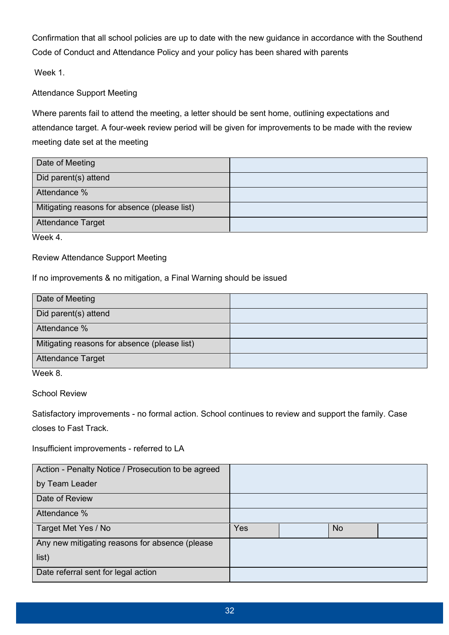Confirmation that all school policies are up to date with the new guidance in accordance with the Southend Code of Conduct and Attendance Policy and your policy has been shared with parents

Week 1.

Attendance Support Meeting

Where parents fail to attend the meeting, a letter should be sent home, outlining expectations and attendance target. A four-week review period will be given for improvements to be made with the review meeting date set at the meeting

| Date of Meeting                              |  |
|----------------------------------------------|--|
| Did parent(s) attend                         |  |
| Attendance %                                 |  |
| Mitigating reasons for absence (please list) |  |
| <b>Attendance Target</b>                     |  |

Week 4

#### Review Attendance Support Meeting

#### If no improvements & no mitigation, a Final Warning should be issued

| Date of Meeting                              |  |
|----------------------------------------------|--|
| Did parent(s) attend                         |  |
| Attendance %                                 |  |
| Mitigating reasons for absence (please list) |  |
| <b>Attendance Target</b>                     |  |

Week 8.

School Review

Satisfactory improvements - no formal action. School continues to review and support the family. Case closes to Fast Track.

Insufficient improvements - referred to LA

| Action - Penalty Notice / Prosecution to be agreed |     |           |  |
|----------------------------------------------------|-----|-----------|--|
| by Team Leader                                     |     |           |  |
| Date of Review                                     |     |           |  |
| Attendance %                                       |     |           |  |
| Target Met Yes / No                                | Yes | <b>No</b> |  |
| Any new mitigating reasons for absence (please     |     |           |  |
| list)                                              |     |           |  |
| Date referral sent for legal action                |     |           |  |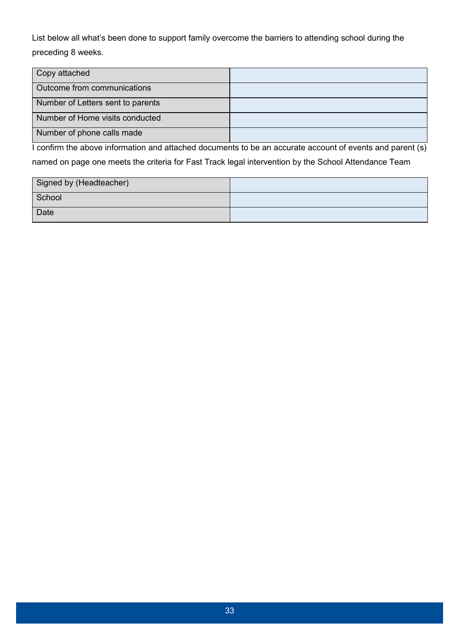List below all what's been done to support family overcome the barriers to attending school during the preceding 8 weeks.

| Copy attached                     |  |
|-----------------------------------|--|
| Outcome from communications       |  |
| Number of Letters sent to parents |  |
| Number of Home visits conducted   |  |
| Number of phone calls made        |  |

I confirm the above information and attached documents to be an accurate account of events and parent (s) named on page one meets the criteria for Fast Track legal intervention by the School Attendance Team

| Signed by (Headteacher) |  |
|-------------------------|--|
| School                  |  |
| Date                    |  |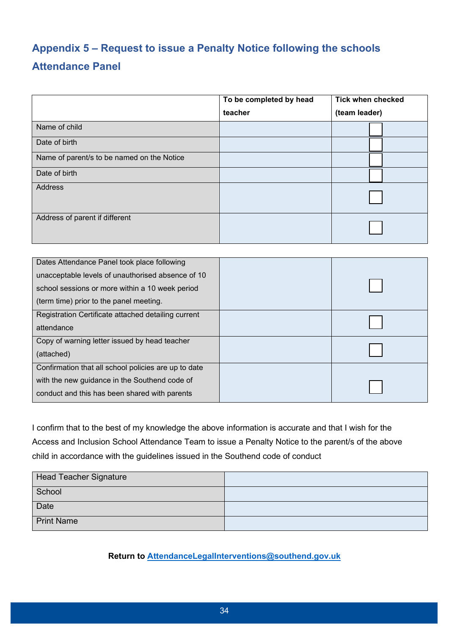# <span id="page-33-0"></span>**Appendix 5 – Request to issue a Penalty Notice following the schools Attendance Panel**

|                                            | To be completed by head | <b>Tick when checked</b> |  |
|--------------------------------------------|-------------------------|--------------------------|--|
|                                            | teacher                 | (team leader)            |  |
| Name of child                              |                         |                          |  |
| Date of birth                              |                         |                          |  |
| Name of parent/s to be named on the Notice |                         |                          |  |
| Date of birth                              |                         |                          |  |
| Address                                    |                         |                          |  |
| Address of parent if different             |                         |                          |  |

| Dates Attendance Panel took place following<br>unacceptable levels of unauthorised absence of 10 |  |
|--------------------------------------------------------------------------------------------------|--|
| school sessions or more within a 10 week period                                                  |  |
| (term time) prior to the panel meeting.                                                          |  |
| Registration Certificate attached detailing current                                              |  |
| attendance                                                                                       |  |
| Copy of warning letter issued by head teacher                                                    |  |
| (attached)                                                                                       |  |
| Confirmation that all school policies are up to date                                             |  |
| with the new guidance in the Southend code of                                                    |  |
| conduct and this has been shared with parents                                                    |  |

I confirm that to the best of my knowledge the above information is accurate and that I wish for the Access and Inclusion School Attendance Team to issue a Penalty Notice to the parent/s of the above child in accordance with the guidelines issued in the Southend code of conduct

| Head Teacher Signature |  |
|------------------------|--|
| School                 |  |
| Date                   |  |
| <b>Print Name</b>      |  |

**Return to [AttendanceLegalInterventions@southend.gov.uk](mailto:ShoolAttendanceLegalInterventions@southend.gov.uk)**